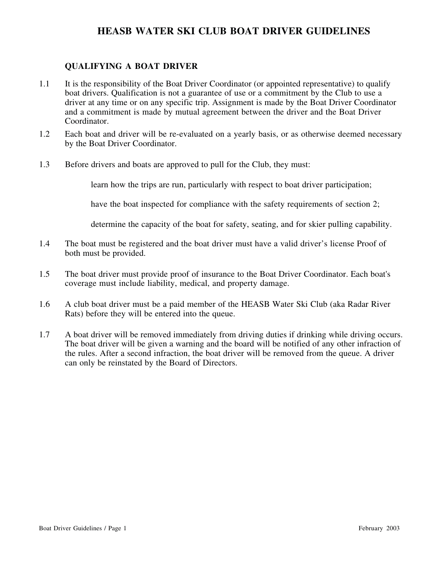#### **QUALIFYING A BOAT DRIVER**

- 1.1 It is the responsibility of the Boat Driver Coordinator (or appointed representative) to qualify boat drivers. Qualification is not a guarantee of use or a commitment by the Club to use a driver at any time or on any specific trip. Assignment is made by the Boat Driver Coordinator and a commitment is made by mutual agreement between the driver and the Boat Driver Coordinator.
- 1.2 Each boat and driver will be re-evaluated on a yearly basis, or as otherwise deemed necessary by the Boat Driver Coordinator.
- 1.3 Before drivers and boats are approved to pull for the Club, they must:

learn how the trips are run, particularly with respect to boat driver participation;

have the boat inspected for compliance with the safety requirements of section 2;

determine the capacity of the boat for safety, seating, and for skier pulling capability.

- 1.4 The boat must be registered and the boat driver must have a valid driver's license Proof of both must be provided.
- 1.5 The boat driver must provide proof of insurance to the Boat Driver Coordinator. Each boat's coverage must include liability, medical, and property damage.
- 1.6 A club boat driver must be a paid member of the HEASB Water Ski Club (aka Radar River Rats) before they will be entered into the queue.
- 1.7 A boat driver will be removed immediately from driving duties if drinking while driving occurs. The boat driver will be given a warning and the board will be notified of any other infraction of the rules. After a second infraction, the boat driver will be removed from the queue. A driver can only be reinstated by the Board of Directors.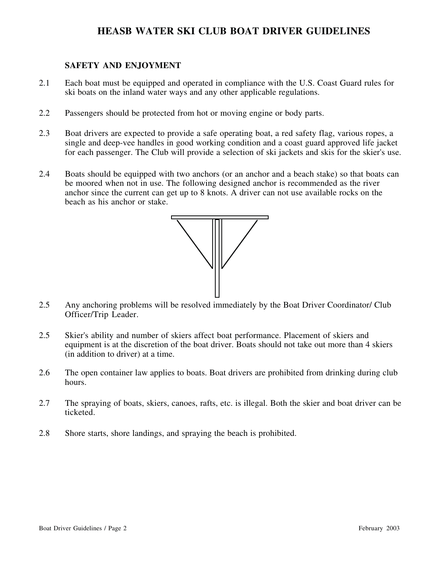#### **SAFETY AND ENJOYMENT**

- 2.1 Each boat must be equipped and operated in compliance with the U.S. Coast Guard rules for ski boats on the inland water ways and any other applicable regulations.
- 2.2 Passengers should be protected from hot or moving engine or body parts.
- 2.3 Boat drivers are expected to provide a safe operating boat, a red safety flag, various ropes, a single and deep-vee handles in good working condition and a coast guard approved life jacket for each passenger. The Club will provide a selection of ski jackets and skis for the skier's use.
- 2.4 Boats should be equipped with two anchors (or an anchor and a beach stake) so that boats can be moored when not in use. The following designed anchor is recommended as the river anchor since the current can get up to 8 knots. A driver can not use available rocks on the beach as his anchor or stake.



- 2.5 Any anchoring problems will be resolved immediately by the Boat Driver Coordinator/ Club Officer/Trip Leader.
- 2.5 Skier's ability and number of skiers affect boat performance. Placement of skiers and equipment is at the discretion of the boat driver. Boats should not take out more than 4 skiers (in addition to driver) at a time.
- 2.6 The open container law applies to boats. Boat drivers are prohibited from drinking during club hours.
- 2.7 The spraying of boats, skiers, canoes, rafts, etc. is illegal. Both the skier and boat driver can be ticketed.
- 2.8 Shore starts, shore landings, and spraying the beach is prohibited.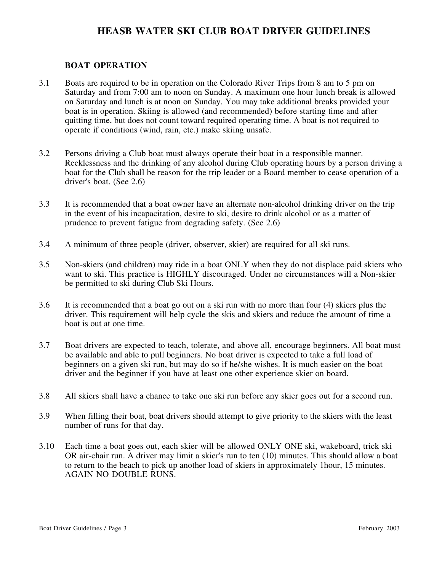#### **BOAT OPERATION**

- 3.1 Boats are required to be in operation on the Colorado River Trips from 8 am to 5 pm on Saturday and from 7:00 am to noon on Sunday. A maximum one hour lunch break is allowed on Saturday and lunch is at noon on Sunday. You may take additional breaks provided your boat is in operation. Skiing is allowed (and recommended) before starting time and after quitting time, but does not count toward required operating time. A boat is not required to operate if conditions (wind, rain, etc.) make skiing unsafe.
- 3.2 Persons driving a Club boat must always operate their boat in a responsible manner. Recklessness and the drinking of any alcohol during Club operating hours by a person driving a boat for the Club shall be reason for the trip leader or a Board member to cease operation of a driver's boat. (See 2.6)
- 3.3 It is recommended that a boat owner have an alternate non-alcohol drinking driver on the trip in the event of his incapacitation, desire to ski, desire to drink alcohol or as a matter of prudence to prevent fatigue from degrading safety. (See 2.6)
- 3.4 A minimum of three people (driver, observer, skier) are required for all ski runs.
- 3.5 Non-skiers (and children) may ride in a boat ONLY when they do not displace paid skiers who want to ski. This practice is HIGHLY discouraged. Under no circumstances will a Non-skier be permitted to ski during Club Ski Hours.
- 3.6 It is recommended that a boat go out on a ski run with no more than four (4) skiers plus the driver. This requirement will help cycle the skis and skiers and reduce the amount of time a boat is out at one time.
- 3.7 Boat drivers are expected to teach, tolerate, and above all, encourage beginners. All boat must be available and able to pull beginners. No boat driver is expected to take a full load of beginners on a given ski run, but may do so if he/she wishes. It is much easier on the boat driver and the beginner if you have at least one other experience skier on board.
- 3.8 All skiers shall have a chance to take one ski run before any skier goes out for a second run.
- 3.9 When filling their boat, boat drivers should attempt to give priority to the skiers with the least number of runs for that day.
- 3.10 Each time a boat goes out, each skier will be allowed ONLY ONE ski, wakeboard, trick ski OR air-chair run. A driver may limit a skier's run to ten (10) minutes. This should allow a boat to return to the beach to pick up another load of skiers in approximately 1hour, 15 minutes. AGAIN NO DOUBLE RUNS.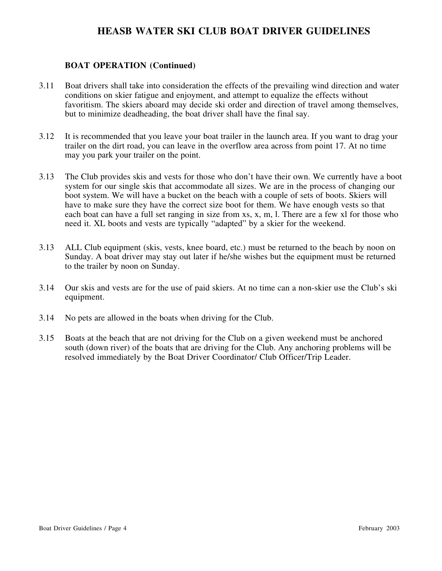#### **BOAT OPERATION (Continued)**

- 3.11 Boat drivers shall take into consideration the effects of the prevailing wind direction and water conditions on skier fatigue and enjoyment, and attempt to equalize the effects without favoritism. The skiers aboard may decide ski order and direction of travel among themselves, but to minimize deadheading, the boat driver shall have the final say.
- 3.12 It is recommended that you leave your boat trailer in the launch area. If you want to drag your trailer on the dirt road, you can leave in the overflow area across from point 17. At no time may you park your trailer on the point.
- 3.13 The Club provides skis and vests for those who don't have their own. We currently have a boot system for our single skis that accommodate all sizes. We are in the process of changing our boot system. We will have a bucket on the beach with a couple of sets of boots. Skiers will have to make sure they have the correct size boot for them. We have enough vests so that each boat can have a full set ranging in size from xs, x, m, l. There are a few xl for those who need it. XL boots and vests are typically "adapted" by a skier for the weekend.
- 3.13 ALL Club equipment (skis, vests, knee board, etc.) must be returned to the beach by noon on Sunday. A boat driver may stay out later if he/she wishes but the equipment must be returned to the trailer by noon on Sunday.
- 3.14 Our skis and vests are for the use of paid skiers. At no time can a non-skier use the Club's ski equipment.
- 3.14 No pets are allowed in the boats when driving for the Club.
- 3.15 Boats at the beach that are not driving for the Club on a given weekend must be anchored south (down river) of the boats that are driving for the Club. Any anchoring problems will be resolved immediately by the Boat Driver Coordinator/ Club Officer/Trip Leader.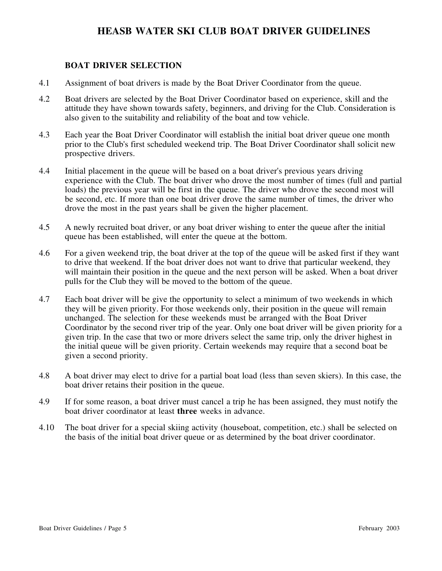#### **BOAT DRIVER SELECTION**

- 4.1 Assignment of boat drivers is made by the Boat Driver Coordinator from the queue.
- 4.2 Boat drivers are selected by the Boat Driver Coordinator based on experience, skill and the attitude they have shown towards safety, beginners, and driving for the Club. Consideration is also given to the suitability and reliability of the boat and tow vehicle.
- 4.3 Each year the Boat Driver Coordinator will establish the initial boat driver queue one month prior to the Club's first scheduled weekend trip. The Boat Driver Coordinator shall solicit new prospective drivers.
- 4.4 Initial placement in the queue will be based on a boat driver's previous years driving experience with the Club. The boat driver who drove the most number of times (full and partial loads) the previous year will be first in the queue. The driver who drove the second most will be second, etc. If more than one boat driver drove the same number of times, the driver who drove the most in the past years shall be given the higher placement.
- 4.5 A newly recruited boat driver, or any boat driver wishing to enter the queue after the initial queue has been established, will enter the queue at the bottom.
- 4.6 For a given weekend trip, the boat driver at the top of the queue will be asked first if they want to drive that weekend. If the boat driver does not want to drive that particular weekend, they will maintain their position in the queue and the next person will be asked. When a boat driver pulls for the Club they will be moved to the bottom of the queue.
- 4.7 Each boat driver will be give the opportunity to select a minimum of two weekends in which they will be given priority. For those weekends only, their position in the queue will remain unchanged. The selection for these weekends must be arranged with the Boat Driver Coordinator by the second river trip of the year. Only one boat driver will be given priority for a given trip. In the case that two or more drivers select the same trip, only the driver highest in the initial queue will be given priority. Certain weekends may require that a second boat be given a second priority.
- 4.8 A boat driver may elect to drive for a partial boat load (less than seven skiers). In this case, the boat driver retains their position in the queue.
- 4.9 If for some reason, a boat driver must cancel a trip he has been assigned, they must notify the boat driver coordinator at least **three** weeks in advance.
- 4.10 The boat driver for a special skiing activity (houseboat, competition, etc.) shall be selected on the basis of the initial boat driver queue or as determined by the boat driver coordinator.